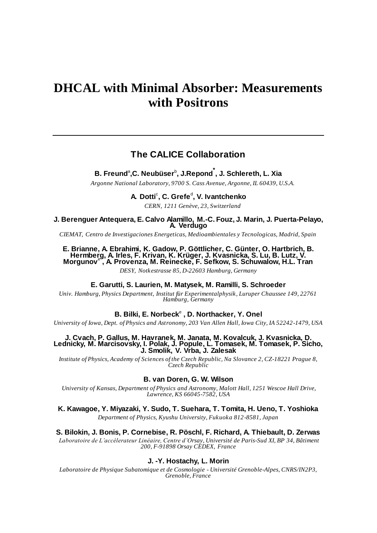# **DHCAL with Minimal Absorber: Measurements with Positrons**

## **The CALICE Collaboration**

**B. Freund**<sup>a</sup> **,C. Neubüser**<sup>b</sup> **, J.Repond\* , J. Schlereth, L. Xia**

*Argonne National Laboratory, 9700 S. Cass Avenue, Argonne, IL 60439, U.S.A.*

**A. Dotti<sup>c</sup>, C. Grefe<sup>d</sup>, V. Ivantchenko** *CERN, 1211 Genève, 23, Switzerland*

**J. Berenguer Antequera, E. Calvo Alamillo, M.-C. Fouz, J. Marin, J. Puerta-Pelayo, A. Verdugo**

*CIEMAT, Centro de Investigaciones Energeticas, Medioambientales y Tecnologicas, Madrid, Spain*

#### **E. Brianne, A. Ebrahimi, K. Gadow, P. Göttlicher, C. Günter, O. Hartbrich, B. Hermberg, A. Irles, F. Krivan, K. Krüger, J. Kvasnicka, S. Lu, B. Lutz, V. Morgunov**<sup>e</sup> **, A. Provenza, M. Reinecke, F. Sefkow, S. Schuwalow, H.L. Tran**

*DESY, Notkestrasse 85, D-22603 Hamburg, Germany*

#### **E. Garutti, S. Laurien, M. Matysek, M. Ramilli, S. Schroeder**

*Univ. Hamburg, Physics Department, Institut für Experimentalphysik, Luruper Chaussee 149, 22761 Hamburg, Germany*

## **B. Bilki, E. Norbeck**<sup>e</sup> **, D. Northacker, Y. Onel**

*University of Iowa, Dept. of Physics and Astronomy, 203 Van Allen Hall, Iowa City, IA 52242-1479, USA*

#### **J. Cvach, P. Gallus, M. Havranek, M. Janata, M. Kovalcuk, J. Kvasnicka, D. Lednicky, M. Marcisovsky, I. Polak, J. Popule, L. Tomasek, M. Tomasek, P. Sicho, J. Smolik, V. Vrba, J. Zalesak**

*Institute of Physics, Academy of Sciences of the Czech Republic, Na Slovance 2, CZ-18221 Prague 8, Czech Republic*

#### **B. van Doren, G. W. Wilson**

*University of Kansas, Department of Physics and Astronomy, Malott Hall, 1251 Wescoe Hall Drive, Lawrence, KS 66045-7582, USA*

## **K. Kawagoe, Y. Miyazaki, Y. Sudo, T. Suehara, T. Tomita, H. Ueno, T. Yoshioka**

*Department of Physics, Kyushu University, Fukuoka 812-8581, Japan*

#### **S. Bilokin, J. Bonis, P. Cornebise, R. Pöschl, F. Richard, A. Thiebault, D. Zerwas**

*Laboratoire de L'accélerateur Linéaire, Centre d'Orsay, Université de Paris-Sud XI, BP 34, Bâtiment 200, F-91898 Orsay CEDEX, France*

#### **J. -Y. Hostachy, L. Morin**

*Laboratoire de Physique Subatomique et de Cosmologie - Université Grenoble-Alpes, CNRS/IN2P3, Grenoble, France*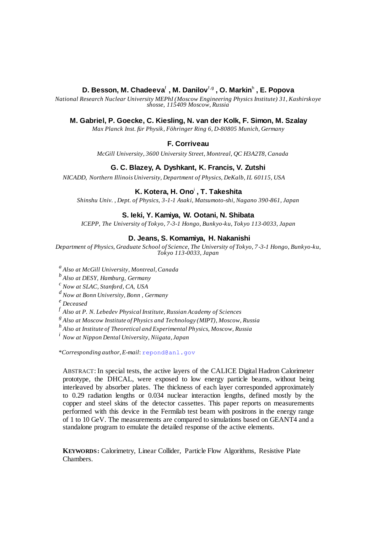## **D. Besson, M. Chadeeva**<sup>f</sup> **, M. Danilov**<sup>f</sup> ,g **, O. Markin**<sup>h</sup> **, E. Popova**

*National Research Nuclear University MEPhI (Moscow Engineering Physics Institute) 31, Kashirskoye shosse, 115409 Moscow, Russia*

## **M. Gabriel, P. Goecke, C. Kiesling, N. van der Kolk, F. Simon, M. Szalay**

*Max Planck Inst. für Physik, Föhringer Ring 6, D-80805 Munich, Germany*

## **F. Corriveau**

*McGill University, 3600 University Street, Montreal, QC H3A2T8, Canada*

## **G. C. Blazey, A. Dyshkant, K. Francis, V. Zutshi**

*NICADD, Northern Illinois University, Department of Physics, DeKalb, IL 60115, USA*

## **K. Kotera, H. Ono**<sup>i</sup> **, T. Takeshita**

*Shinshu Univ. , Dept. of Physics, 3-1-1 Asaki, Matsumoto-shi, Nagano 390-861, Japan*

## **S. Ieki, Y. Kamiya, W. Ootani, N. Shibata**

*ICEPP, The University of Tokyo, 7-3-1 Hongo, Bunkyo-ku, Tokyo 113-0033, Japan* 

## **D. Jeans, S. Komamiya, H. Nakanishi**

*Department of Physics, Graduate School of Science, The University of Tokyo, 7 -3-1 Hongo, Bunkyo-ku, Tokyo 113-0033, Japan*

*a Also at McGill University, Montreal,Canada*

*b Also at DESY, Hamburg, Germany*

*c Now at SLAC, Stanford, CA, USA*

*d Now at Bonn University, Bonn , Germany*

*<sup>e</sup> Deceased*

*f Also at P. N. Lebedev Physical Institute, Russian Academy of Sciences*

*g Also at Moscow Institute of Physics and Technology (MIPT), Moscow, Russia*

*h Also at Institute of Theoretical and Experimental Physics, Moscow, Russia*

*i Now at Nippon Dental University, Niigata, Japan*

*\*Corresponding author, E-mail*: [repond@anl.gov](mailto:repond@anl.gov)

ABSTRACT: In special tests, the active layers of the CALICE Digital Hadron Calorimeter prototype, the DHCAL, were exposed to low energy particle beams, without being interleaved by absorber plates. The thickness of each layer corresponded approximately to 0.29 radiation lengths or 0.034 nuclear interaction lengths, defined mostly by the copper and steel skins of the detector cassettes. This paper reports on measurements performed with this device in the Fermilab test beam with positrons in the energy range of 1 to 10 GeV. The measurements are compared to simulations based on GEANT4 and a standalone program to emulate the detailed response of the active elements.

**KEYWORDS:** Calorimetry, Linear Collider, Particle Flow Algorithms, Resistive Plate Chambers.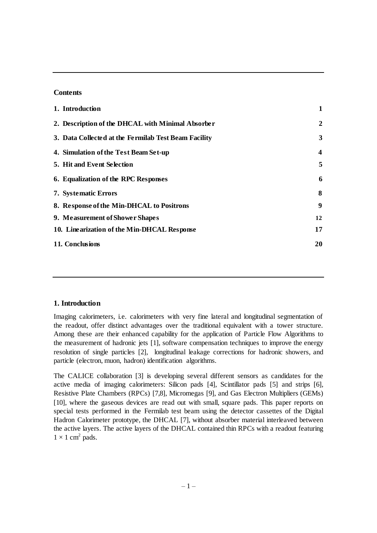## **Contents**

| 1. Introduction                                      |                         |
|------------------------------------------------------|-------------------------|
| 2. Description of the DHCAL with Minimal Absorber    | 2                       |
| 3. Data Collected at the Fermilab Test Beam Facility | 3                       |
| 4. Simulation of the Test Beam Set-up                | $\overline{\mathbf{4}}$ |
| <b>5. Hit and Event Selection</b>                    | 5                       |
| 6. Equalization of the RPC Responses                 | 6                       |
| 7. Systematic Errors                                 | 8                       |
| 8. Response of the Min-DHCAL to Positrons            | 9                       |
| 9. Measurement of Shower Shapes                      | 12                      |
| 10. Linearization of the Min-DHCAL Response          | 17                      |
| 11. Conclusions                                      | 20                      |

#### **1. Introduction**

Imaging calorimeters, i.e. calorimeters with very fine lateral and longitudinal segmentation of the readout, offer distinct advantages over the traditional equivalent with a tower structure. Among these are their enhanced capability for the application of Particle Flow Algorithms to the measurement of hadronic jets [1], software compensation techniques to improve the energy resolution of single particles [2], longitudinal leakage corrections for hadronic showers, and particle (electron, muon, hadron) identification algorithms.

The CALICE collaboration [3] is developing several different sensors as candidates for the active media of imaging calorimeters: Silicon pads [4], Scintillator pads [5] and strips [6], Resistive Plate Chambers (RPCs) [7,8], Micromegas [9], and Gas Electron Multipliers (GEMs) [10], where the gaseous devices are read out with small, square pads. This paper reports on special tests performed in the Fermilab test beam using the detector cassettes of the Digital Hadron Calorimeter prototype, the DHCAL [7], without absorber material interleaved between the active layers. The active layers of the DHCAL contained thin RPCs with a readout featuring  $1 \times 1$  cm<sup>2</sup> pads.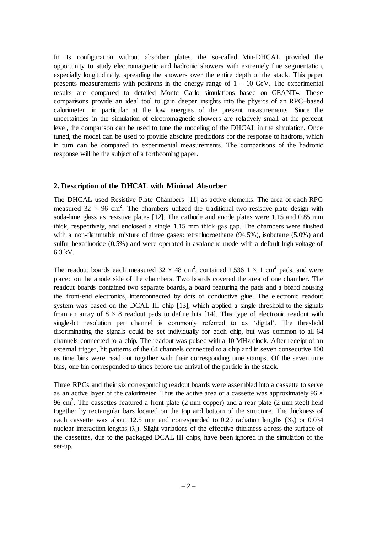In its configuration without absorber plates, the so-called Min-DHCAL provided the opportunity to study electromagnetic and hadronic showers with extremely fine segmentation, especially longitudinally, spreading the showers over the entire depth of the stack. This paper presents measurements with positrons in the energy range of  $1 - 10$  GeV. The experimental results are compared to detailed Monte Carlo simulations based on GEANT4. These comparisons provide an ideal tool to gain deeper insights into the physics of an RPC–based calorimeter, in particular at the low energies of the present measurements. Since the uncertainties in the simulation of electromagnetic showers are relatively small, at the percent level, the comparison can be used to tune the modeling of the DHCAL in the simulation. Once tuned, the model can be used to provide absolute predictions for the response to hadrons, which in turn can be compared to experimental measurements. The comparisons of the hadronic response will be the subject of a forthcoming paper.

#### **2. Description of the DHCAL with Minimal Absorber**

The DHCAL used Resistive Plate Chambers [11] as active elements. The area of each RPC measured 32  $\times$  96 cm<sup>2</sup>. The chambers utilized the traditional two resistive-plate design with soda-lime glass as resistive plates [12]. The cathode and anode plates were 1.15 and 0.85 mm thick, respectively, and enclosed a single 1.15 mm thick gas gap. The chambers were flushed with a non-flammable mixture of three gases: tetrafluoroethane (94.5%), isobutane (5.0%) and sulfur hexafluoride (0.5%) and were operated in avalanche mode with a default high voltage of 6.3 kV.

The readout boards each measured  $32 \times 48$  cm<sup>2</sup>, contained 1,536 1  $\times$  1 cm<sup>2</sup> pads, and were placed on the anode side of the chambers. Two boards covered the area of one chamber. The readout boards contained two separate boards, a board featuring the pads and a board housing the front-end electronics, interconnected by dots of conductive glue. The electronic readout system was based on the DCAL III chip [13], which applied a single threshold to the signals from an array of  $8 \times 8$  readout pads to define hits [14]. This type of electronic readout with single-bit resolution per channel is commonly referred to as 'digital'. The threshold discriminating the signals could be set individually for each chip, but was common to all 64 channels connected to a chip. The readout was pulsed with a 10 MHz clock. After receipt of an external trigger, hit patterns of the 64 channels connected to a chip and in seven consecutive 100 ns time bins were read out together with their corresponding time stamps. Of the seven time bins, one bin corresponded to times before the arrival of the particle in the stack.

Three RPCs and their six corresponding readout boards were assembled into a cassette to serve as an active layer of the calorimeter. Thus the active area of a cassette was approximately  $96 \times$ 96 cm<sup>2</sup>. The cassettes featured a front-plate (2 mm copper) and a rear plate (2 mm steel) held together by rectangular bars located on the top and bottom of the structure. The thickness of each cassette was about 12.5 mm and corresponded to 0.29 radiation lengths  $(X_0)$  or 0.034 nuclear interaction lengths  $(\lambda_1)$ . Slight variations of the effective thickness across the surface of the cassettes, due to the packaged DCAL III chips, have been ignored in the simulation of the set-up.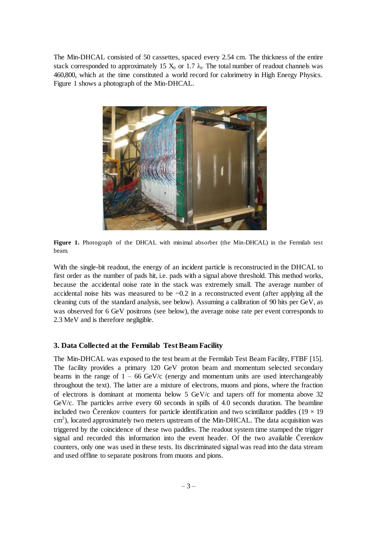The Min-DHCAL consisted of 50 cassettes, spaced every 2.54 cm. The thickness of the entire stack corresponded to approximately 15  $X_0$  or 1.7  $\lambda_I$ . The total number of readout channels was 460,800, which at the time constituted a world record for calorimetry in High Energy Physics. Figure 1 shows a photograph of the Min-DHCAL.



**Figure 1.** Photograph of the DHCAL with minimal absorber (the Min-DHCAL) in the Fermilab test beam.

With the single-bit readout, the energy of an incident particle is reconstructed in the DHCAL to first order as the number of pads hit, i.e. pads with a signal above threshold. This method works, because the accidental noise rate in the stack was extremely small. The average number of accidental noise hits was measured to be  $\sim 0.2$  in a reconstructed event (after applying all the cleaning cuts of the standard analysis, see below). Assuming a calibration of 90 hits per GeV, as was observed for 6 GeV positrons (see below), the average noise rate per event corresponds to 2.3 MeV and is therefore negligible.

#### **3. Data Collected at the Fermilab Test Beam Facility**

The Min-DHCAL was exposed to the test beam at the Fermilab Test Beam Facility, FTBF [15]. The facility provides a primary 120 GeV proton beam and momentum selected secondary beams in the range of  $1 - 66$  GeV/c (energy and momentum units are used interchangeably throughout the text). The latter are a mixture of electrons, muons and pions, where the fraction of electrons is dominant at momenta below 5 GeV/c and tapers off for momenta above 32 GeV/c. The particles arrive every 60 seconds in spills of 4.0 seconds duration. The beamline included two Čerenkov counters for particle identification and two scintillator paddles ( $19 \times 19$ )  $\text{cm}^2$ ), located approximately two meters upstream of the Min-DHCAL. The data acquisition was triggered by the coincidence of these two paddles. The readout system time stamped the trigger signal and recorded this information into the event header. Of the two available Čerenkov counters, only one was used in these tests. Its discriminated signal was read into the data stream and used offline to separate positrons from muons and pions.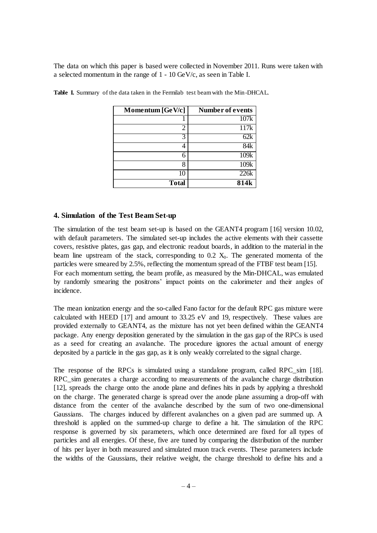The data on which this paper is based were collected in November 2011. Runs were taken with a selected momentum in the range of 1 - 10 GeV/c, as seen in Table I.

| Momentum $[GeV/c]$ | Number of events |
|--------------------|------------------|
|                    | 107k             |
|                    | 117k             |
|                    | 62k              |
|                    | 84k              |
| 6                  | 109k             |
| x                  | 109k             |
| 10                 | 226k             |
| <b>Total</b>       | 814k             |

**Table I.** Summary of the data taken in the Fermilab test beam with the Min-DHCAL.

## **4. Simulation of the Test Beam Set-up**

The simulation of the test beam set-up is based on the GEANT4 program [16] version 10.02, with default parameters. The simulated set-up includes the active elements with their cassette covers, resistive plates, gas gap, and electronic readout boards, in addition to the material in the beam line upstream of the stack, corresponding to  $0.2$   $X_0$ . The generated momenta of the particles were smeared by 2.5%, reflecting the momentum spread of the FTBF test beam [15]. For each momentum setting, the beam profile, as measured by the Min-DHCAL, was emulated by randomly smearing the positrons' impact points on the calorimeter and their angles of incidence.

The mean ionization energy and the so-called Fano factor for the default RPC gas mixture were calculated with HEED [17] and amount to 33.25 eV and 19, respectively. These values are provided externally to GEANT4, as the mixture has not yet been defined within the GEANT4 package. Any energy deposition generated by the simulation in the gas gap of the RPCs is used as a seed for creating an avalanche. The procedure ignores the actual amount of energy deposited by a particle in the gas gap, as it is only weakly correlated to the signal charge.

The response of the RPCs is simulated using a standalone program, called RPC\_sim [18]. RPC\_sim generates a charge according to measurements of the avalanche charge distribution [12], spreads the charge onto the anode plane and defines hits in pads by applying a threshold on the charge. The generated charge is spread over the anode plane assuming a drop-off with distance from the center of the avalanche described by the sum of two one-dimensional Gaussians. The charges induced by different avalanches on a given pad are summed up. A threshold is applied on the summed-up charge to define a hit. The simulation of the RPC response is governed by six parameters, which once determined are fixed for all types of particles and all energies. Of these, five are tuned by comparing the distribution of the number of hits per layer in both measured and simulated muon track events. These parameters include the widths of the Gaussians, their relative weight, the charge threshold to define hits and a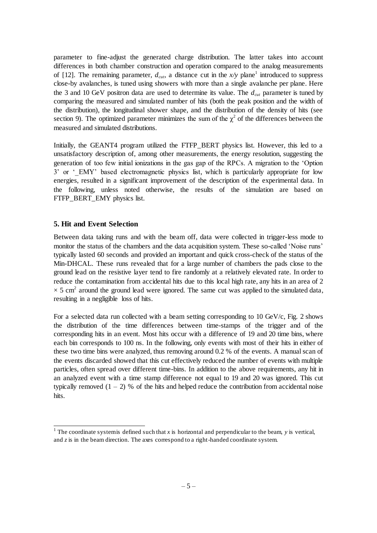parameter to fine-adjust the generated charge distribution. The latter takes into account differences in both chamber construction and operation compared to the analog measurements of [12]. The remaining parameter,  $d_{\text{cut}}$ , a distance cut in the  $x/y$  plane<sup>1</sup> introduced to suppress close-by avalanches, is tuned using showers with more than a single avalanche per plane. Here the 3 and 10 GeV positron data are used to determine its value. The *dcut* parameter is tuned by comparing the measured and simulated number of hits (both the peak position and the width of the distribution), the longitudinal shower shape, and the distribution of the density of hits (see section 9). The optimized parameter minimizes the sum of the  $\chi^2$  of the differences between the measured and simulated distributions.

Initially, the GEANT4 program utilized the FTFP\_BERT physics list. However, this led to a unsatisfactory description of, among other measurements, the energy resolution, suggesting the generation of too few initial ionizations in the gas gap of the RPCs. A migration to the 'Option 3' or '\_EMY' based electromagnetic physics list, which is particularly appropriate for low energies, resulted in a significant improvement of the description of the experimental data. In the following, unless noted otherwise, the results of the simulation are based on FTFP\_BERT\_EMY physics list.

#### **5. Hit and Event Selection**

l

Between data taking runs and with the beam off, data were collected in trigger-less mode to monitor the status of the chambers and the data acquisition system. These so-called 'Noise runs' typically lasted 60 seconds and provided an important and quick cross-check of the status of the Min-DHCAL. These runs revealed that for a large number of chambers the pads close to the ground lead on the resistive layer tend to fire randomly at a relatively elevated rate. In order to reduce the contamination from accidental hits due to this local high rate, any hits in an area of 2  $\times$  5 cm<sup>2</sup> around the ground lead were ignored. The same cut was applied to the simulated data, resulting in a negligible loss of hits.

For a selected data run collected with a beam setting corresponding to 10 GeV/c, Fig. 2 shows the distribution of the time differences between time-stamps of the trigger and of the corresponding hits in an event. Most hits occur with a difference of 19 and 20 time bins, where each bin corresponds to 100 ns. In the following, only events with most of their hits in either of these two time bins were analyzed, thus removing around 0.2 % of the events. A manual scan of the events discarded showed that this cut effectively reduced the number of events with multiple particles, often spread over different time-bins. In addition to the above requirements, any hit in an analyzed event with a time stamp difference not equal to 19 and 20 was ignored. This cut typically removed  $(1 - 2)$  % of the hits and helped reduce the contribution from accidental noise hits.

<sup>&</sup>lt;sup>1</sup> The coordinate system is defined such that *x* is horizontal and perpendicular to the beam, *y* is vertical, and  $z$  is in the beam direction. The axes correspond to a right-handed coordinate system.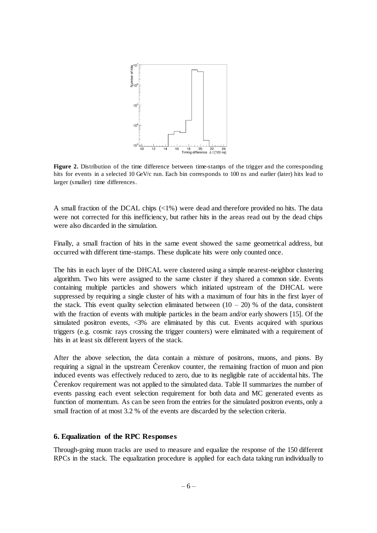

**Figure 2.** Distribution of the time difference between time-stamps of the trigger and the corresponding hits for events in a selected 10 GeV/c run. Each bin corresponds to 100 ns and earlier (later) hits lead to larger (smaller) time differences.

A small fraction of the DCAL chips (<1%) were dead and therefore provided no hits. The data were not corrected for this inefficiency, but rather hits in the areas read out by the dead chips were also discarded in the simulation.

Finally, a small fraction of hits in the same event showed the same geometrical address, but occurred with different time-stamps. These duplicate hits were only counted once.

The hits in each layer of the DHCAL were clustered using a simple nearest-neighbor clustering algorithm. Two hits were assigned to the same cluster if they shared a common side. Events containing multiple particles and showers which initiated upstream of the DHCAL were suppressed by requiring a single cluster of hits with a maximum of four hits in the first layer of the stack. This event quality selection eliminated between  $(10 - 20)$  % of the data, consistent with the fraction of events with multiple particles in the beam and/or early showers [15]. Of the simulated positron events, <3% are eliminated by this cut. Events acquired with spurious triggers (e.g. cosmic rays crossing the trigger counters) were eliminated with a requirement of hits in at least six different layers of the stack.

After the above selection, the data contain a mixture of positrons, muons, and pions. By requiring a signal in the upstream Čerenkov counter, the remaining fraction of muon and pion induced events was effectively reduced to zero, due to its negligible rate of accidental hits. The Čerenkov requirement was not applied to the simulated data. Table II summarizes the number of events passing each event selection requirement for both data and MC generated events as function of momentum. As can be seen from the entries for the simulated positron events, only a small fraction of at most 3.2 % of the events are discarded by the selection criteria.

## **6. Equalization of the RPC Responses**

Through-going muon tracks are used to measure and equalize the response of the 150 different RPCs in the stack. The equalization procedure is applied for each data taking run individually to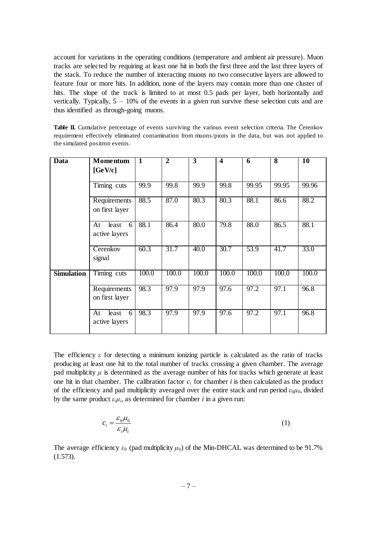account for variations in the operating conditions (temperature and ambient air pressure). Muon tracks are selected by requiring at least one hit in both the first three and the last three layers of the stack. To reduce the number of interacting muons no two consecutive layers are allowed to feature four or more hits. In addition, none of the layers may contain more than one cluster of hits. The slope of the track is limited to at most 0.5 pads per layer, both horizontally and vertically. Typically, 5 – 10% of the events in a given run survive these selection cuts and are thus identified as through-going muons.

Table II. Cumulative percentage of events surviving the various event selection criteria. The Čerenkov requirement effectively eliminated contamination from muons/pions in the data, but was not applied to the simulated positron events.

| Data              | <b>Momentum</b>                   | $\overline{1}$ | $\overline{2}$ | $\overline{3}$ | $\overline{\mathbf{4}}$ | 6     | $\overline{\mathbf{8}}$ | $\overline{10}$ |
|-------------------|-----------------------------------|----------------|----------------|----------------|-------------------------|-------|-------------------------|-----------------|
|                   | [GeV/c]                           |                |                |                |                         |       |                         |                 |
|                   | Timing cuts                       | 99.9           | 99.8           | 99.9           | 99.8                    | 99.95 | 99.95                   | 99.96           |
|                   | Requirements<br>on first layer    | 88.5           | 87.0           | 80.3           | 80.3                    | 88.1  | 86.6                    | 88.2            |
|                   | least<br>At<br>6<br>active layers | 88.1           | 86.4           | 80.0           | 79.8                    | 88.0  | 86.5                    | 88.1            |
|                   | Cerenkov<br>signal                | 60.3           | 31.7           | 40.0           | 30.7                    | 53.9  | 41.7                    | 33.0            |
| <b>Simulation</b> | Timing cuts                       | 100.0          | 100.0          | 100.0          | 100.0                   | 100.0 | 100.0                   | 100.0           |
|                   | Requirements<br>on first layer    | 98.3           | 97.9           | 97.9           | 97.6                    | 97.2  | 97.1                    | 96.8            |
|                   | least<br>6<br>At<br>active layers | 98.3           | 97.9           | 97.9           | 97.6                    | 97.2  | 97.1                    | 96.8            |

The efficiency  $\varepsilon$  for detecting a minimum ionizing particle is calculated as the ratio of tracks producing at least one hit to the total number of tracks crossing a given chamber. The average pad multiplicity  $\mu$  is determined as the average number of hits for tracks which generate at least one hit in that chamber. The calibration factor  $c_i$  for chamber *i* is then calculated as the product of the efficiency and pad multiplicity averaged over the entire stack and run period  $\varepsilon_0\mu_0$ , divided by the same product  $\varepsilon_i \mu_i$ , as determined for chamber *i* in a given run:

$$
c_i = \frac{\varepsilon_0 \mu_0}{\varepsilon_i \mu_i} \tag{1}
$$

The average efficiency  $\varepsilon_0$  (pad multiplicity  $\mu_0$ ) of the Min-DHCAL was determined to be 91.7% (1.573).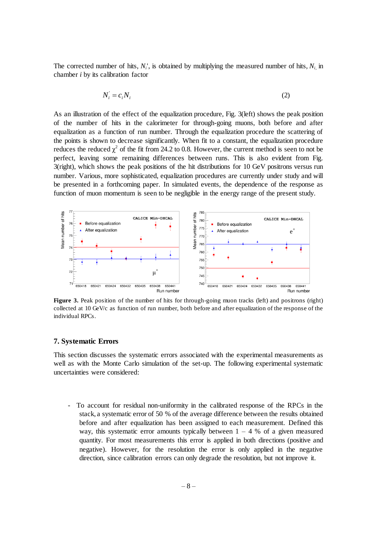The corrected number of hits,  $N_i$ , is obtained by multiplying the measured number of hits,  $N_i$  in chamber *i* by its calibration factor

$$
N_i = c_i N_i \tag{2}
$$

As an illustration of the effect of the equalization procedure, Fig. 3(left) shows the peak position of the number of hits in the calorimeter for through-going muons, both before and after equalization as a function of run number. Through the equalization procedure the scattering of the points is shown to decrease significantly. When fit to a constant, the equalization procedure reduces the reduced  $\chi^2$  of the fit from 24.2 to 0.8. However, the current method is seen to not be perfect, leaving some remaining differences between runs. This is also evident from Fig. 3(right), which shows the peak positions of the hit distributions for 10 GeV positrons versus run number. Various, more sophisticated, equalization procedures are currently under study and will be presented in a forthcoming paper. In simulated events, the dependence of the response as function of muon momentum is seen to be negligible in the energy range of the present study.



Figure 3. Peak position of the number of hits for through-going muon tracks (left) and positrons (right) collected at 10 GeV/c as function of run number, both before and after equalization of the response of the individual RPCs.

#### **7. Systematic Errors**

This section discusses the systematic errors associated with the experimental measurements as well as with the Monte Carlo simulation of the set-up. The following experimental systematic uncertainties were considered:

- To account for residual non-uniformity in the calibrated response of the RPCs in the stack, a systematic error of 50 % of the average difference between the results obtained before and after equalization has been assigned to each measurement. Defined this way, this systematic error amounts typically between  $1 - 4$  % of a given measured quantity. For most measurements this error is applied in both directions (positive and negative). However, for the resolution the error is only applied in the negative direction, since calibration errors can only degrade the resolution, but not improve it.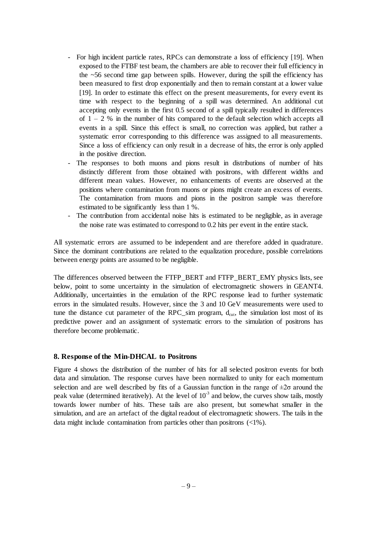- For high incident particle rates, RPCs can demonstrate a loss of efficiency [19]. When exposed to the FTBF test beam, the chambers are able to recover their full efficiency in the ~56 second time gap between spills. However, during the spill the efficiency has been measured to first drop exponentially and then to remain constant at a lower value [19]. In order to estimate this effect on the present measurements, for every event its time with respect to the beginning of a spill was determined. An additional cut accepting only events in the first 0.5 second of a spill typically resulted in differences of  $1 - 2$  % in the number of hits compared to the default selection which accepts all events in a spill. Since this effect is small, no correction was applied, but rather a systematic error corresponding to this difference was assigned to all measurements. Since a loss of efficiency can only result in a decrease of hits, the error is only applied in the positive direction.
- The responses to both muons and pions result in distributions of number of hits distinctly different from those obtained with positrons, with different widths and different mean values. However, no enhancements of events are observed at the positions where contamination from muons or pions might create an excess of events. The contamination from muons and pions in the positron sample was therefore estimated to be significantly less than 1 %.
- The contribution from accidental noise hits is estimated to be negligible, as in average the noise rate was estimated to correspond to 0.2 hits per event in the entire stack.

All systematic errors are assumed to be independent and are therefore added in quadrature. Since the dominant contributions are related to the equalization procedure, possible correlations between energy points are assumed to be negligible.

The differences observed between the FTFP\_BERT and FTFP\_BERT\_EMY physics lists, see below, point to some uncertainty in the simulation of electromagnetic showers in GEANT4. Additionally, uncertainties in the emulation of the RPC response lead to further systematic errors in the simulated results. However, since the 3 and 10 GeV measurements were used to tune the distance cut parameter of the RPC\_sim program,  $d_{cut}$ , the simulation lost most of its predictive power and an assignment of systematic errors to the simulation of positrons has therefore become problematic.

## **8. Response of the Min-DHCAL to Positrons**

Figure 4 shows the distribution of the number of hits for all selected positron events for both data and simulation. The response curves have been normalized to unity for each momentum selection and are well described by fits of a Gaussian function in the range of  $\pm 2\sigma$  around the peak value (determined iteratively). At the level of  $10^{-3}$  and below, the curves show tails, mostly towards lower number of hits. These tails are also present, but somewhat smaller in the simulation, and are an artefact of the digital readout of electromagnetic showers. The tails in the data might include contamination from particles other than positrons (<1%).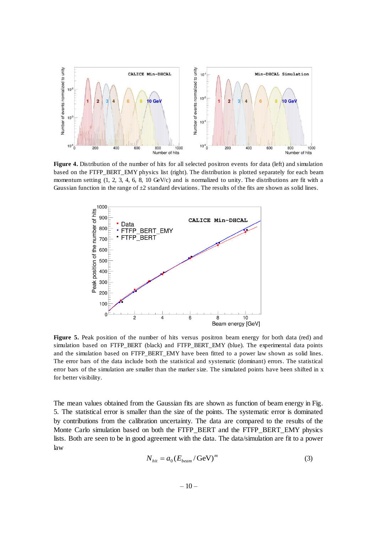

**Figure 4.** Distribution of the number of hits for all selected positron events for data (left) and simulation based on the FTFP\_BERT\_EMY physics list (right). The distribution is plotted separately for each beam momentum setting (1, 2, 3, 4, 6, 8, 10 GeV/c) and is normalized to unity. The distributions are fit with a Gaussian function in the range of  $\pm 2$  standard deviations. The results of the fits are shown as solid lines.



**Figure 5.** Peak position of the number of hits versus positron beam energy for both data (red) and simulation based on FTFP\_BERT (black) and FTFP\_BERT\_EMY (blue). The experimental data points and the simulation based on FTFP\_BERT\_EMY have been fitted to a power law shown as solid lines. The error bars of the data include both the statistical and systematic (dominant) errors. The statistical error bars of the simulation are smaller than the marker size. The simulated points have been shifted in x for better visibility.

The mean values obtained from the Gaussian fits are shown as function of beam energy in Fig. 5. The statistical error is smaller than the size of the points. The systematic error is dominated by contributions from the calibration uncertainty. The data are compared to the results of the Monte Carlo simulation based on both the FTFP\_BERT and the FTFP\_BERT\_EMY physics lists. Both are seen to be in good agreement with the data. The data/simulation are fit to a power law

$$
N_{hit} = a_0 (E_{beam} / \text{GeV})^m
$$
 (3)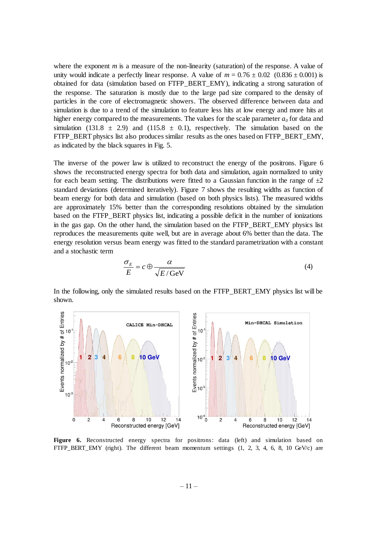where the exponent *m* is a measure of the non-linearity (saturation) of the response. A value of unity would indicate a perfectly linear response. A value of  $m = 0.76 \pm 0.02$  (0.836  $\pm$  0.001) is obtained for data (simulation based on FTFP\_BERT\_EMY), indicating a strong saturation of the response. The saturation is mostly due to the large pad size compared to the density of particles in the core of electromagnetic showers. The observed difference between data and simulation is due to a trend of the simulation to feature less hits at low energy and more hits at higher energy compared to the measurements. The values for the scale parameter  $a<sub>0</sub>$  for data and simulation (131.8  $\pm$  2.9) and (115.8  $\pm$  0.1), respectively. The simulation based on the FTFP\_BERT physics list also produces similar results as the ones based on FTFP\_BERT\_EMY, as indicated by the black squares in Fig. 5.

The inverse of the power law is utilized to reconstruct the energy of the positrons. Figure 6 shows the reconstructed energy spectra for both data and simulation, again normalized to unity for each beam setting. The distributions were fitted to a Gaussian function in the range of  $\pm 2$ standard deviations (determined iteratively). Figure 7 shows the resulting widths as function of beam energy for both data and simulation (based on both physics lists). The measured widths are approximately 15% better than the corresponding resolutions obtained by the simulation based on the FTFP\_BERT physics list, indicating a possible deficit in the number of ionizations in the gas gap. On the other hand, the simulation based on the FTFP\_BERT\_EMY physics list reproduces the measurements quite well, but are in average about 6% better than the data. The energy resolution versus beam energy was fitted to the standard parametrization with a constant and a stochastic term

$$
\frac{\sigma_E}{E} = c \oplus \frac{\alpha}{\sqrt{E/\text{GeV}}} \tag{4}
$$

In the following, only the simulated results based on the FTFP\_BERT\_EMY physics list will be shown.



**Figure 6.** Reconstructed energy spectra for positrons: data (left) and simulation based on FTFP\_BERT\_EMY (right). The different beam momentum settings  $(1, 2, 3, 4, 6, 8, 10 \text{ GeV/c})$  are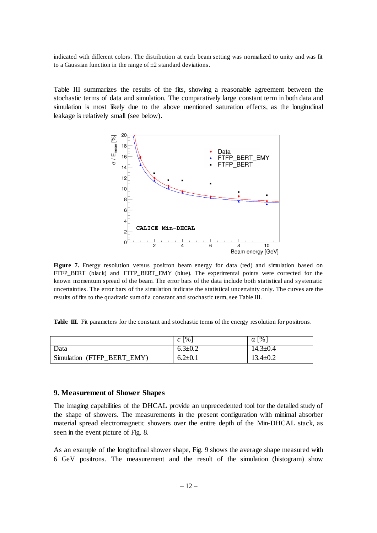indicated with different colors. The distribution at each beam setting was normalized to unity and was fit to a Gaussian function in the range of  $\pm 2$  standard deviations.

Table III summarizes the results of the fits, showing a reasonable agreement between the stochastic terms of data and simulation. The comparatively large constant term in both data and simulation is most likely due to the above mentioned saturation effects, as the longitudinal leakage is relatively small (see below).



**Figure 7.** Energy resolution versus positron beam energy for data (red) and simulation based on FTFP\_BERT (black) and FTFP\_BERT\_EMY (blue). The experimental points were corrected for the known momentum spread of the beam. The error bars of the data include both statistical and systematic uncertainties. The error bars of the simulation indicate the statistical uncertainty only. The curves are the results of fits to the quadratic sum of a constant and stochastic term, see Table III.

**Table III.** Fit parameters for the constant and stochastic terms of the energy resolution for positrons.

|                               | $\lceil \frac{0}{6} \rceil$<br>$\mathcal{C}$ | $\%$<br>$\alpha$ |
|-------------------------------|----------------------------------------------|------------------|
| Data                          | $6.3 \pm 0.2$                                | $14.3 \pm 0.4$   |
| Simulation<br>(FTFP BERT EMY) | $6.2 \pm 0.1$                                | $13.4 \pm 0.2$   |

#### **9. Measurement of Shower Shapes**

The imaging capabilities of the DHCAL provide an unprecedented tool for the detailed study of the shape of showers. The measurements in the present configuration with minimal absorber material spread electromagnetic showers over the entire depth of the Min-DHCAL stack, as seen in the event picture of Fig. 8.

As an example of the longitudinal shower shape, Fig. 9 shows the average shape measured with 6 GeV positrons. The measurement and the result of the simulation (histogram) show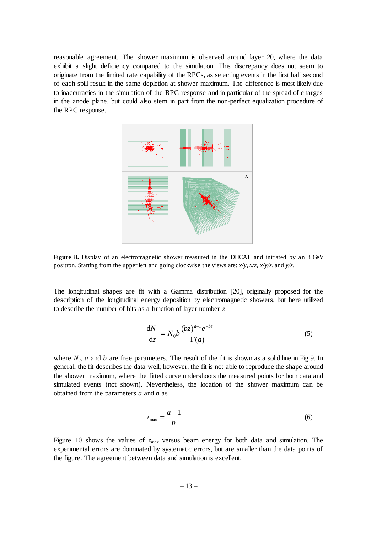reasonable agreement. The shower maximum is observed around layer 20, where the data exhibit a slight deficiency compared to the simulation. This discrepancy does not seem to originate from the limited rate capability of the RPCs, as selecting events in the first half second of each spill result in the same depletion at shower maximum. The difference is most likely due to inaccuracies in the simulation of the RPC response and in particular of the spread of charges in the anode plane, but could also stem in part from the non-perfect equalization procedure of the RPC response.



Figure 8. Display of an electromagnetic shower measured in the DHCAL and initiated by an 8 GeV positron. Starting from the upper left and going clockwise the views are: *x/y*, *x/z*, *x/y/z*, and *y/z*.

The longitudinal shapes are fit with a Gamma distribution [20], originally proposed for the description of the longitudinal energy deposition by electromagnetic showers, but here utilized to describe the number of hits as a function of layer number *z*

$$
\frac{\mathrm{d}N}{\mathrm{d}z} = N_0 b \frac{(bz)^{a-1} e^{-bz}}{\Gamma(a)}\tag{5}
$$

where  $N_0$ , *a* and *b* are free parameters. The result of the fit is shown as a solid line in Fig.9. In general, the fit describes the data well; however, the fit is not able to reproduce the shape around the shower maximum, where the fitted curve undershoots the measured points for both data and simulated events (not shown). Nevertheless, the location of the shower maximum can be obtained from the parameters *a* and *b* as

$$
z_{\text{max}} = \frac{a-1}{b} \tag{6}
$$

Figure 10 shows the values of  $z_{max}$  versus beam energy for both data and simulation. The experimental errors are dominated by systematic errors, but are smaller than the data points of the figure. The agreement between data and simulation is excellent.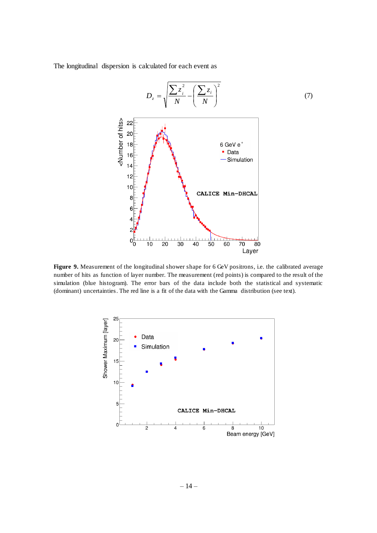The longitudinal dispersion is calculated for each event as



**Figure 9.** Measurement of the longitudinal shower shape for 6 GeV positrons, i.e. the calibrated average number of hits as function of layer number. The measurement (red points) is compared to the result of the simulation (blue histogram). The error bars of the data include both the statistical and systematic (dominant) uncertainties. The red line is a fit of the data with the Gamma distribution (see text).

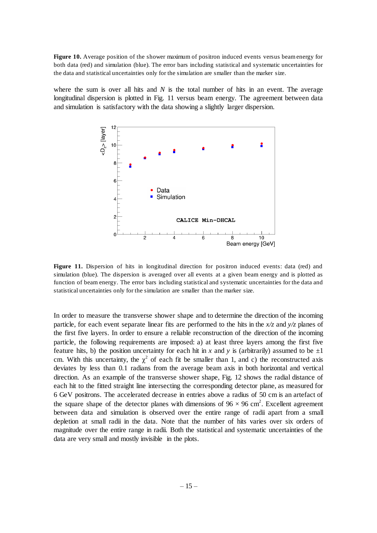**Figure 10.** Average position of the shower maximum of positron induced events versus beam energy for both data (red) and simulation (blue). The error bars including statistical and systematic uncertainties for the data and statistical uncertainties only for the simulation are smaller than the marker size.

where the sum is over all hits and *N* is the total number of hits in an event. The average longitudinal dispersion is plotted in Fig. 11 versus beam energy. The agreement between data and simulation is satisfactory with the data showing a slightly larger dispersion.



**Figure 11.** Dispersion of hits in longitudinal direction for positron induced events: data (red) and simulation (blue). The dispersion is averaged over all events at a given beam energy and is plotted as function of beam energy. The error bars including statistical and systematic uncertainties for the data and statistical uncertainties only for the simulation are smaller than the marker size.

In order to measure the transverse shower shape and to determine the direction of the incoming particle, for each event separate linear fits are performed to the hits in the *x/z* and *y/z* planes of the first five layers. In order to ensure a reliable reconstruction of the direction of the incoming particle, the following requirements are imposed: a) at least three layers among the first five feature hits, b) the position uncertainty for each hit in *x* and *y* is (arbitrarily) assumed to be  $\pm 1$ cm. With this uncertainty, the  $\chi^2$  of each fit be smaller than 1, and c) the reconstructed axis deviates by less than 0.1 radians from the average beam axis in both horizontal and vertical direction. As an example of the transverse shower shape, Fig. 12 shows the radial distance of each hit to the fitted straight line intersecting the corresponding detector plane, as measured for 6 GeV positrons. The accelerated decrease in entries above a radius of 50 cm is an artefact of the square shape of the detector planes with dimensions of  $96 \times 96$  cm<sup>2</sup>. Excellent agreement between data and simulation is observed over the entire range of radii apart from a small depletion at small radii in the data. Note that the number of hits varies over six orders of magnitude over the entire range in radii. Both the statistical and systematic uncertainties of the data are very small and mostly invisible in the plots.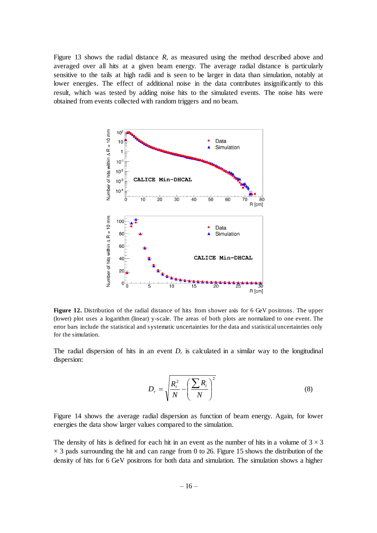Figure 13 shows the radial distance *R*, as measured using the method described above and averaged over all hits at a given beam energy. The average radial distance is particularly sensitive to the tails at high radii and is seen to be larger in data than simulation, notably at lower energies. The effect of additional noise in the data contributes insignificantly to this result, which was tested by adding noise hits to the simulated events. The noise hits were obtained from events collected with random triggers and no beam.



**Figure 12.** Distribution of the radial distance of hits from shower axis for 6 GeV positrons. The upper (lower) plot uses a logarithm (linear) y-scale. The areas of both plots are normalized to one event. The error bars include the statistical and systematic uncertainties for the data and statistical uncertainties only for the simulation.

The radial dispersion of hits in an event  $D<sub>r</sub>$  is calculated in a similar way to the longitudinal dispersion:

$$
D_r = \sqrt{\frac{R_i^2}{N} - \left(\frac{\sum R_i}{N}\right)^2}
$$
 (8)

Figure 14 shows the average radial dispersion as function of beam energy. Again, for lower energies the data show larger values compared to the simulation.

The density of hits is defined for each hit in an event as the number of hits in a volume of  $3 \times 3$  $\times$  3 pads surrounding the hit and can range from 0 to 26. Figure 15 shows the distribution of the density of hits for 6 GeV positrons for both data and simulation. The simulation shows a higher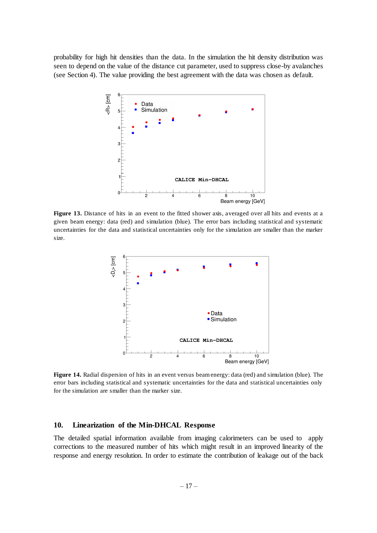probability for high hit densities than the data. In the simulation the hit density distribution was seen to depend on the value of the distance cut parameter, used to suppress close-by avalanches (see Section 4). The value providing the best agreement with the data was chosen as default.



**Figure 13.** Distance of hits in an event to the fitted shower axis, averaged over all hits and events at a given beam energy: data (red) and simulation (blue). The error bars including statistical and systematic uncertainties for the data and statistical uncertainties only for the simulation are smaller than the marker size.



**Figure 14.** Radial dispersion of hits in an event versus beam energy: data (red) and simulation (blue). The error bars including statistical and systematic uncertainties for the data and statistical uncertainties only for the simulation are smaller than the marker size.

#### **10. Linearization of the Min-DHCAL Response**

The detailed spatial information available from imaging calorimeters can be used to apply corrections to the measured number of hits which might result in an improved linearity of the response and energy resolution. In order to estimate the contribution of leakage out of the back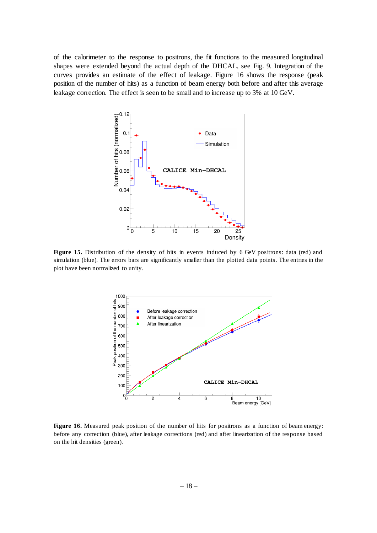of the calorimeter to the response to positrons, the fit functions to the measured longitudinal shapes were extended beyond the actual depth of the DHCAL, see Fig. 9. Integration of the curves provides an estimate of the effect of leakage. Figure 16 shows the response (peak position of the number of hits) as a function of beam energy both before and after this average leakage correction. The effect is seen to be small and to increase up to 3% at 10 GeV.



**Figure 15.** Distribution of the density of hits in events induced by 6 GeV positrons: data (red) and simulation (blue). The errors bars are significantly smaller than the plotted data points. The entries in the plot have been normalized to unity.



Figure 16. Measured peak position of the number of hits for positrons as a function of beam energy: before any correction (blue), after leakage corrections (red) and after linearization of the response based on the hit densities (green).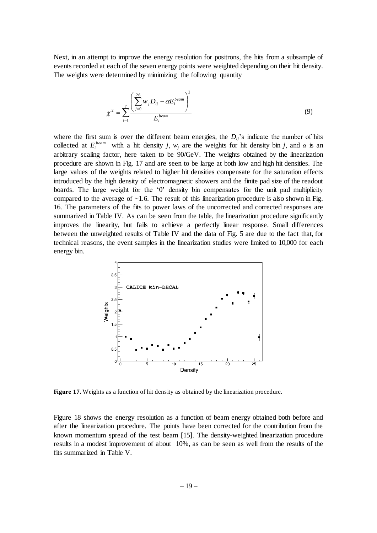Next, in an attempt to improve the energy resolution for positrons, the hits from a subsample of events recorded at each of the seven energy points were weighted depending on their hit density. The weights were determined by minimizing the following quantity

$$
\chi^{2} = \sum_{i=1}^{7} \frac{\left(\sum_{j=0}^{26} w_{j} D_{ij} - \alpha E_{i}^{beam}\right)^{2}}{E_{i}^{beam}}
$$
(9)

where the first sum is over the different beam energies, the  $D_i$ <sup>'</sup>s indicate the number of hits collected at  $E_i^{beam}$  with a hit density *j*,  $w_j$  are the weights for hit density bin *j*, and  $\alpha$  is an arbitrary scaling factor, here taken to be 90/GeV. The weights obtained by the linearization procedure are shown in Fig. 17 and are seen to be large at both low and high hit densities. The large values of the weights related to higher hit densities compensate for the saturation effects introduced by the high density of electromagnetic showers and the finite pad size of the readout boards. The large weight for the '0' density bin compensates for the unit pad multiplicity compared to the average of  $\sim$ 1.6. The result of this linearization procedure is also shown in Fig. 16. The parameters of the fits to power laws of the uncorrected and corrected responses are summarized in Table IV. As can be seen from the table, the linearization procedure significantly improves the linearity, but fails to achieve a perfectly linear response. Small differences between the unweighted results of Table IV and the data of Fig. 5 are due to the fact that, for technical reasons, the event samples in the linearization studies were limited to 10,000 for each energy bin.



**Figure 17.** Weights as a function of hit density as obtained by the linearization procedure.

Figure 18 shows the energy resolution as a function of beam energy obtained both before and after the linearization procedure. The points have been corrected for the contribution from the known momentum spread of the test beam [15]. The density-weighted linearization procedure results in a modest improvement of about 10%, as can be seen as well from the results of the fits summarized in Table V.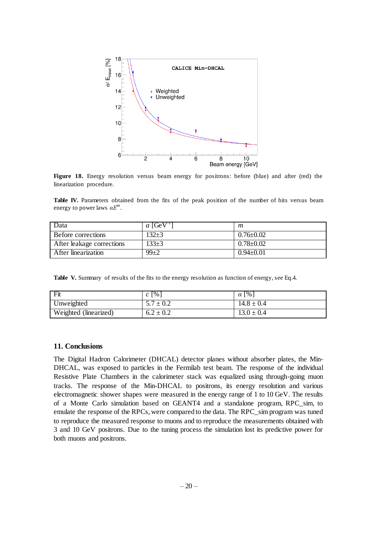

**Figure 18.** Energy resolution versus beam energy for positrons: before (blue) and after (red) the linearization procedure.

Table IV. Parameters obtained from the fits of the peak position of the number of hits versus beam energy to power laws *αE<sup>m</sup>* .

| Data                      | a $[GeV^{-1}]$ | m               |
|---------------------------|----------------|-----------------|
| Before corrections        | 132+3          | $0.76 \pm 0.02$ |
| After leakage corrections | $133 + 3$      | $0.78 \pm 0.02$ |
| After linearization       | $99+2$         | $0.94 \pm 0.01$ |

**Table V.** Summary of results of the fits to the energy resolution as function of energy, see Eq.4.

| Fit                   | $c \lceil \% \rceil$ | $\alpha$ [%]   |
|-----------------------|----------------------|----------------|
| Unweighted            | $5.7 \pm 0.2$        | $14.8 \pm 0.4$ |
| Weighted (linearized) | $6.2 \pm 0.2$        | $13.0 \pm 0.4$ |

#### **11. Conclusions**

The Digital Hadron Calorimeter (DHCAL) detector planes without absorber plates, the Min-DHCAL, was exposed to particles in the Fermilab test beam. The response of the individual Resistive Plate Chambers in the calorimeter stack was equalized using through-going muon tracks. The response of the Min-DHCAL to positrons, its energy resolution and various electromagnetic shower shapes were measured in the energy range of 1 to 10 GeV. The results of a Monte Carlo simulation based on GEANT4 and a standalone program, RPC\_sim, to emulate the response of the RPCs, were compared to the data. The RPC\_sim program was tuned to reproduce the measured response to muons and to reproduce the measurements obtained with 3 and 10 GeV positrons. Due to the tuning process the simulation lost its predictive power for both muons and positrons.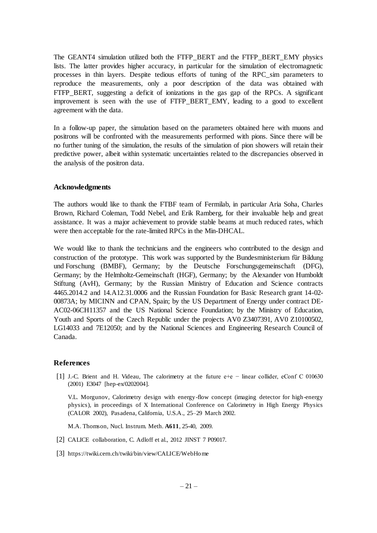The GEANT4 simulation utilized both the FTFP\_BERT and the FTFP\_BERT\_EMY physics lists. The latter provides higher accuracy, in particular for the simulation of electromagnetic processes in thin layers. Despite tedious efforts of tuning of the RPC\_sim parameters to reproduce the measurements, only a poor description of the data was obtained with FTFP BERT, suggesting a deficit of ionizations in the gas gap of the RPCs. A significant improvement is seen with the use of FTFP BERT EMY, leading to a good to excellent agreement with the data.

In a follow-up paper, the simulation based on the parameters obtained here with muons and positrons will be confronted with the measurements performed with pions. Since there will be no further tuning of the simulation, the results of the simulation of pion showers will retain their predictive power, albeit within systematic uncertainties related to the discrepancies observed in the analysis of the positron data.

## **Acknowledgments**

The authors would like to thank the FTBF team of Fermilab, in particular Aria Soha, Charles Brown, Richard Coleman, Todd Nebel, and Erik Ramberg, for their invaluable help and great assistance. It was a major achievement to provide stable beams at much reduced rates, which were then acceptable for the rate-limited RPCs in the Min-DHCAL.

We would like to thank the technicians and the engineers who contributed to the design and construction of the prototype. This work was supported by the Bundesministerium für Bildung und Forschung (BMBF), Germany; by the Deutsche Forschungsgemeinschaft (DFG), Germany; by the Helmholtz-Gemeinschaft (HGF), Germany; by the Alexander von Humboldt Stiftung (AvH), Germany; by the Russian Ministry of Education and Science contracts 4465.2014.2 and 14.A12.31.0006 and the Russian Foundation for Basic Research grant 14-02- 00873A; by MICINN and CPAN, Spain; by the US Department of Energy under contract DE-AC02-06CH11357 and the US National Science Foundation; by the Ministry of Education, Youth and Sports of the Czech Republic under the projects AV0 Z3407391, AV0 Z10100502, LG14033 and 7E12050; and by the National Sciences and Engineering Research Council of Canada.

#### **References**

[1] J.-C. Brient and H. Videau, The calorimetry at the future e+e − linear collider, eConf C 010630 (2001) E3047 [hep-ex/0202004].

V.L. Morgunov, Calorimetry design with energy-flow concept (imaging detector for high-energy physics), in proceedings of X International Conference on Calorimetry in High Energy Physics (CALOR 2002), Pasadena, California, U.S.A., 25–29 March 2002.

- M.A. Thomson, Nucl. Instrum. Meth. **A611**, 25-40, 2009.
- [2] CALICE collaboration, C. Adloff et al., 2012 JINST 7 P09017.
- [3] <https://twiki.cern.ch/twiki/bin/view/CALICE/WebHome>